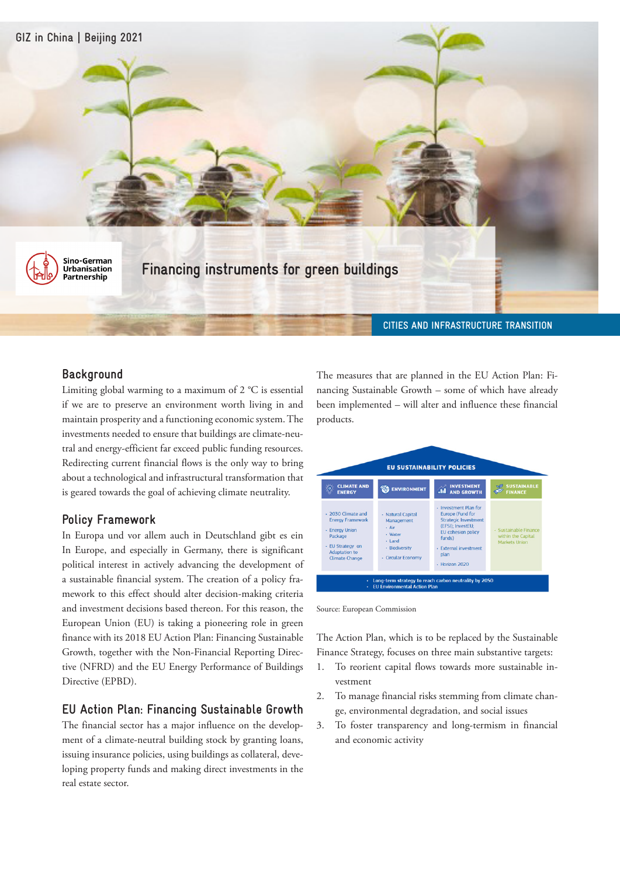

## **Background**

Limiting global warming to a maximum of 2 °C is essential if we are to preserve an environment worth living in and maintain prosperity and a functioning economic system. The investments needed to ensure that buildings are climate-neutral and energy-efficient far exceed public funding resources. Redirecting current financial flows is the only way to bring about a technological and infrastructural transformation that is geared towards the goal of achieving climate neutrality.

# **Policy Framework**

In Europa und vor allem auch in Deutschland gibt es ein In Europe, and especially in Germany, there is significant political interest in actively advancing the development of a sustainable financial system. The creation of a policy framework to this effect should alter decision-making criteria and investment decisions based thereon. For this reason, the European Union (EU) is taking a pioneering role in green finance with its 2018 EU Action Plan: Financing Sustainable Growth, together with the Non-Financial Reporting Directive (NFRD) and the EU Energy Performance of Buildings Directive (EPBD).

# **EU Action Plan: Financing Sustainable Growth**

The financial sector has a major influence on the development of a climate-neutral building stock by granting loans, issuing insurance policies, using buildings as collateral, developing property funds and making direct investments in the real estate sector.

The measures that are planned in the EU Action Plan: Financing Sustainable Growth – some of which have already been implemented – will alter and influence these financial products.

| <b>CLIMATE AND</b><br><b>ENERGY</b>                                                                                                             | <b>ENVIRONMENT</b>                                                                                                           | <b>INVESTMENT</b><br>m<br><b>AND GROWTH</b>                                                                                                                                                    | <b>SUSTAINABLE</b><br><b>FINANCE</b>                                |
|-------------------------------------------------------------------------------------------------------------------------------------------------|------------------------------------------------------------------------------------------------------------------------------|------------------------------------------------------------------------------------------------------------------------------------------------------------------------------------------------|---------------------------------------------------------------------|
| - 2030 Climate and<br><b>Energy Framework</b><br>- Energy Union<br>Package<br>· EU Strategy on<br><b>Adaptation to</b><br><b>Climate Change</b> | <b>Natural Capital</b><br>×.<br>Management<br>- Air<br>• Water<br>$-$ Land<br>· Biodiversity<br><b>Circular Economy</b><br>٠ | - Investment Plan for<br><b>Europe (Fund for</b><br><b>Strategic Investment</b><br>(EFSI); InvestEU;<br><b>EU</b> cohesion policy<br>funds)<br>- External investment<br>plan<br>- Horizon 2020 | · Sustainable Finance<br>within the Capital<br><b>Markets Union</b> |

Source: European Commission

The Action Plan, which is to be replaced by the Sustainable Finance Strategy, focuses on three main substantive targets:

- 1. To reorient capital flows towards more sustainable investment
- 2. To manage financial risks stemming from climate change, environmental degradation, and social issues
- 3. To foster transparency and long-termism in financial and economic activity